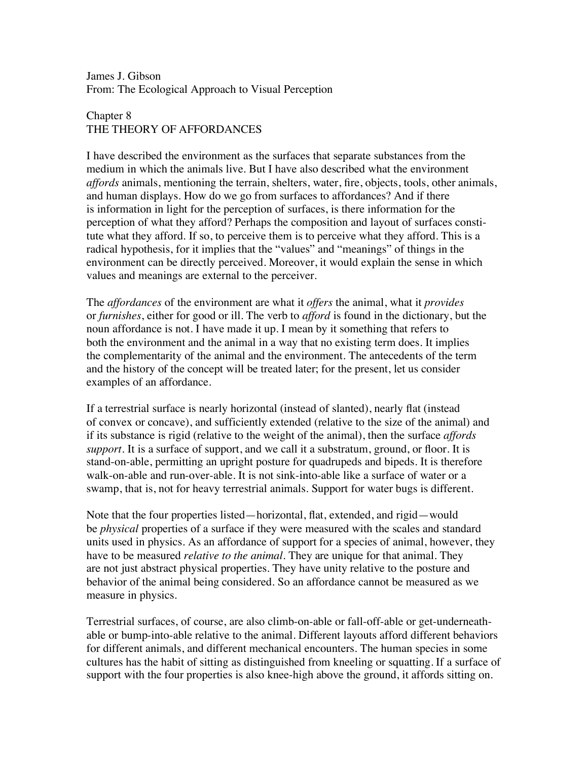James J. Gibson From: The Ecological Approach to Visual Perception

## Chapter 8 THE THEORY OF AFFORDANCES

I have described the environment as the surfaces that separate substances from the medium in which the animals live. But I have also described what the environment *affords* animals, mentioning the terrain, shelters, water, fire, objects, tools, other animals, and human displays. How do we go from surfaces to affordances? And if there is information in light for the perception of surfaces, is there information for the perception of what they afford? Perhaps the composition and layout of surfaces constitute what they afford. If so, to perceive them is to perceive what they afford. This is a radical hypothesis, for it implies that the "values" and "meanings" of things in the environment can be directly perceived. Moreover, it would explain the sense in which values and meanings are external to the perceiver.

The *affordances* of the environment are what it *offers* the animal, what it *provides* or *furnishes*, either for good or ill. The verb to *afford* is found in the dictionary, but the noun affordance is not. I have made it up. I mean by it something that refers to both the environment and the animal in a way that no existing term does. It implies the complementarity of the animal and the environment. The antecedents of the term and the history of the concept will be treated later; for the present, let us consider examples of an affordance.

If a terrestrial surface is nearly horizontal (instead of slanted), nearly flat (instead of convex or concave), and sufficiently extended (relative to the size of the animal) and if its substance is rigid (relative to the weight of the animal), then the surface *affords support*. It is a surface of support, and we call it a substratum, ground, or floor. It is stand-on-able, permitting an upright posture for quadrupeds and bipeds. It is therefore walk-on-able and run-over-able. It is not sink-into-able like a surface of water or a swamp, that is, not for heavy terrestrial animals. Support for water bugs is different.

Note that the four properties listed—horizontal, flat, extended, and rigid—would be *physical* properties of a surface if they were measured with the scales and standard units used in physics. As an affordance of support for a species of animal, however, they have to be measured *relative to the animal*. They are unique for that animal. They are not just abstract physical properties. They have unity relative to the posture and behavior of the animal being considered. So an affordance cannot be measured as we measure in physics.

Terrestrial surfaces, of course, are also climb-on-able or fall-off-able or get-underneathable or bump-into-able relative to the animal. Different layouts afford different behaviors for different animals, and different mechanical encounters. The human species in some cultures has the habit of sitting as distinguished from kneeling or squatting. If a surface of support with the four properties is also knee-high above the ground, it affords sitting on.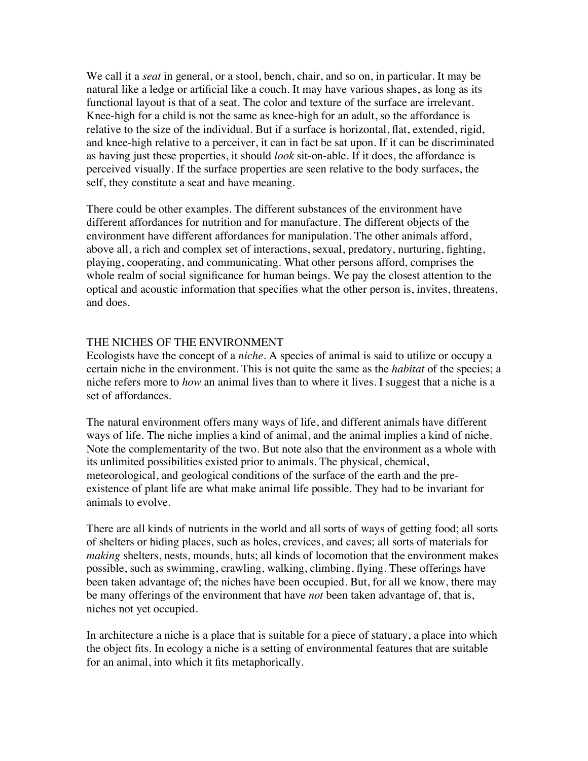We call it a *seat* in general, or a stool, bench, chair, and so on, in particular. It may be natural like a ledge or artificial like a couch. It may have various shapes, as long as its functional layout is that of a seat. The color and texture of the surface are irrelevant. Knee-high for a child is not the same as knee-high for an adult, so the affordance is relative to the size of the individual. But if a surface is horizontal, flat, extended, rigid, and knee-high relative to a perceiver, it can in fact be sat upon. If it can be discriminated as having just these properties, it should *look* sit-on-able. If it does, the affordance is perceived visually. If the surface properties are seen relative to the body surfaces, the self, they constitute a seat and have meaning.

There could be other examples. The different substances of the environment have different affordances for nutrition and for manufacture. The different objects of the environment have different affordances for manipulation. The other animals afford, above all, a rich and complex set of interactions, sexual, predatory, nurturing, fighting, playing, cooperating, and communicating. What other persons afford, comprises the whole realm of social significance for human beings. We pay the closest attention to the optical and acoustic information that specifies what the other person is, invites, threatens, and does.

## THE NICHES OF THE ENVIRONMENT

Ecologists have the concept of a *niche*. A species of animal is said to utilize or occupy a certain niche in the environment. This is not quite the same as the *habitat* of the species; a niche refers more to *how* an animal lives than to where it lives. I suggest that a niche is a set of affordances.

The natural environment offers many ways of life, and different animals have different ways of life. The niche implies a kind of animal, and the animal implies a kind of niche. Note the complementarity of the two. But note also that the environment as a whole with its unlimited possibilities existed prior to animals. The physical, chemical, meteorological, and geological conditions of the surface of the earth and the preexistence of plant life are what make animal life possible. They had to be invariant for animals to evolve.

There are all kinds of nutrients in the world and all sorts of ways of getting food; all sorts of shelters or hiding places, such as holes, crevices, and caves; all sorts of materials for *making* shelters, nests, mounds, huts; all kinds of locomotion that the environment makes possible, such as swimming, crawling, walking, climbing, flying. These offerings have been taken advantage of; the niches have been occupied. But, for all we know, there may be many offerings of the environment that have *not* been taken advantage of, that is, niches not yet occupied.

In architecture a niche is a place that is suitable for a piece of statuary, a place into which the object fits. In ecology a niche is a setting of environmental features that are suitable for an animal, into which it fits metaphorically.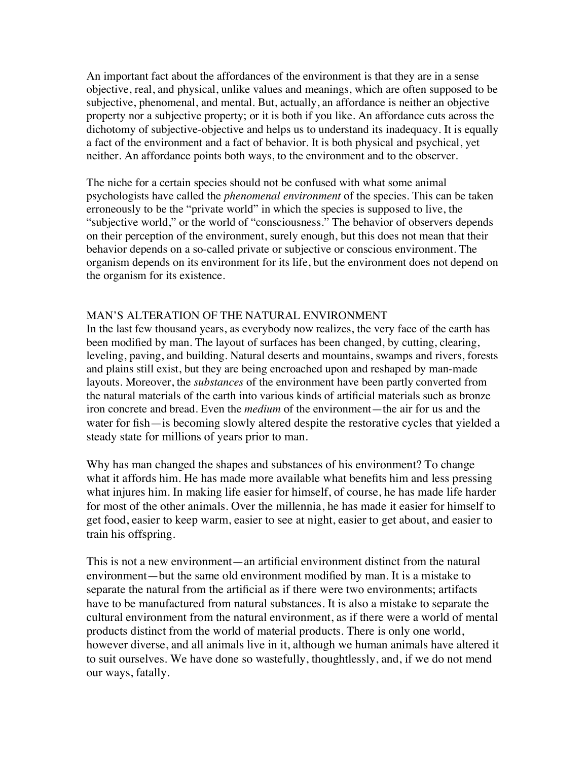An important fact about the affordances of the environment is that they are in a sense objective, real, and physical, unlike values and meanings, which are often supposed to be subjective, phenomenal, and mental. But, actually, an affordance is neither an objective property nor a subjective property; or it is both if you like. An affordance cuts across the dichotomy of subjective-objective and helps us to understand its inadequacy. It is equally a fact of the environment and a fact of behavior. It is both physical and psychical, yet neither. An affordance points both ways, to the environment and to the observer.

The niche for a certain species should not be confused with what some animal psychologists have called the *phenomenal environment* of the species. This can be taken erroneously to be the "private world" in which the species is supposed to live, the "subjective world," or the world of "consciousness." The behavior of observers depends on their perception of the environment, surely enough, but this does not mean that their behavior depends on a so-called private or subjective or conscious environment. The organism depends on its environment for its life, but the environment does not depend on the organism for its existence.

## MAN'S ALTERATION OF THE NATURAL ENVIRONMENT

In the last few thousand years, as everybody now realizes, the very face of the earth has been modified by man. The layout of surfaces has been changed, by cutting, clearing, leveling, paving, and building. Natural deserts and mountains, swamps and rivers, forests and plains still exist, but they are being encroached upon and reshaped by man-made layouts. Moreover, the *substances* of the environment have been partly converted from the natural materials of the earth into various kinds of artificial materials such as bronze iron concrete and bread. Even the *medium* of the environment—the air for us and the water for fish—is becoming slowly altered despite the restorative cycles that yielded a steady state for millions of years prior to man.

Why has man changed the shapes and substances of his environment? To change what it affords him. He has made more available what benefits him and less pressing what injures him. In making life easier for himself, of course, he has made life harder for most of the other animals. Over the millennia, he has made it easier for himself to get food, easier to keep warm, easier to see at night, easier to get about, and easier to train his offspring.

This is not a new environment—an artificial environment distinct from the natural environment—but the same old environment modified by man. It is a mistake to separate the natural from the artificial as if there were two environments; artifacts have to be manufactured from natural substances. It is also a mistake to separate the cultural environment from the natural environment, as if there were a world of mental products distinct from the world of material products. There is only one world, however diverse, and all animals live in it, although we human animals have altered it to suit ourselves. We have done so wastefully, thoughtlessly, and, if we do not mend our ways, fatally.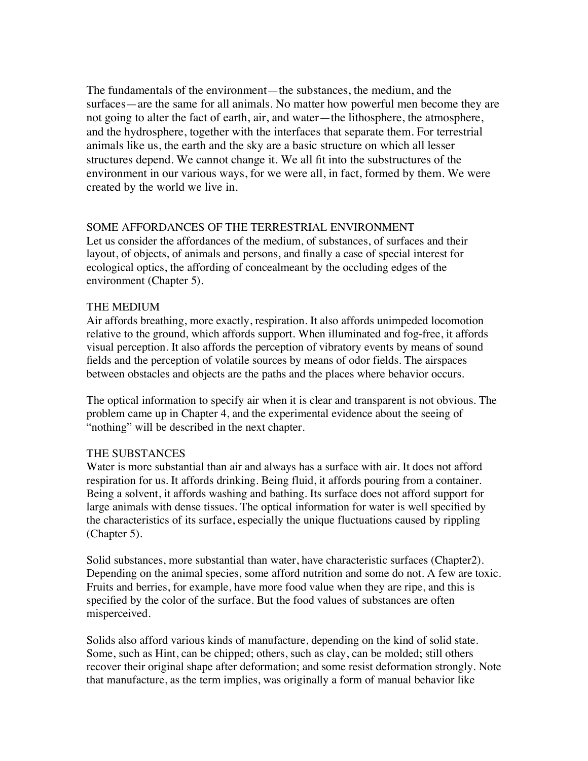The fundamentals of the environment—the substances, the medium, and the surfaces—are the same for all animals. No matter how powerful men become they are not going to alter the fact of earth, air, and water—the lithosphere, the atmosphere, and the hydrosphere, together with the interfaces that separate them. For terrestrial animals like us, the earth and the sky are a basic structure on which all lesser structures depend. We cannot change it. We all fit into the substructures of the environment in our various ways, for we were all, in fact, formed by them. We were created by the world we live in.

## SOME AFFORDANCES OF THE TERRESTRIAL ENVIRONMENT

Let us consider the affordances of the medium, of substances, of surfaces and their layout, of objects, of animals and persons, and finally a case of special interest for ecological optics, the affording of concealmeant by the occluding edges of the environment (Chapter 5).

#### THE MEDIUM

Air affords breathing, more exactly, respiration. It also affords unimpeded locomotion relative to the ground, which affords support. When illuminated and fog-free, it affords visual perception. It also affords the perception of vibratory events by means of sound fields and the perception of volatile sources by means of odor fields. The airspaces between obstacles and objects are the paths and the places where behavior occurs.

The optical information to specify air when it is clear and transparent is not obvious. The problem came up in Chapter 4, and the experimental evidence about the seeing of "nothing" will be described in the next chapter.

#### THE SUBSTANCES

Water is more substantial than air and always has a surface with air. It does not afford respiration for us. It affords drinking. Being fluid, it affords pouring from a container. Being a solvent, it affords washing and bathing. Its surface does not afford support for large animals with dense tissues. The optical information for water is well specified by the characteristics of its surface, especially the unique fluctuations caused by rippling (Chapter 5).

Solid substances, more substantial than water, have characteristic surfaces (Chapter2). Depending on the animal species, some afford nutrition and some do not. A few are toxic. Fruits and berries, for example, have more food value when they are ripe, and this is specified by the color of the surface. But the food values of substances are often misperceived.

Solids also afford various kinds of manufacture, depending on the kind of solid state. Some, such as Hint, can be chipped; others, such as clay, can be molded; still others recover their original shape after deformation; and some resist deformation strongly. Note that manufacture, as the term implies, was originally a form of manual behavior like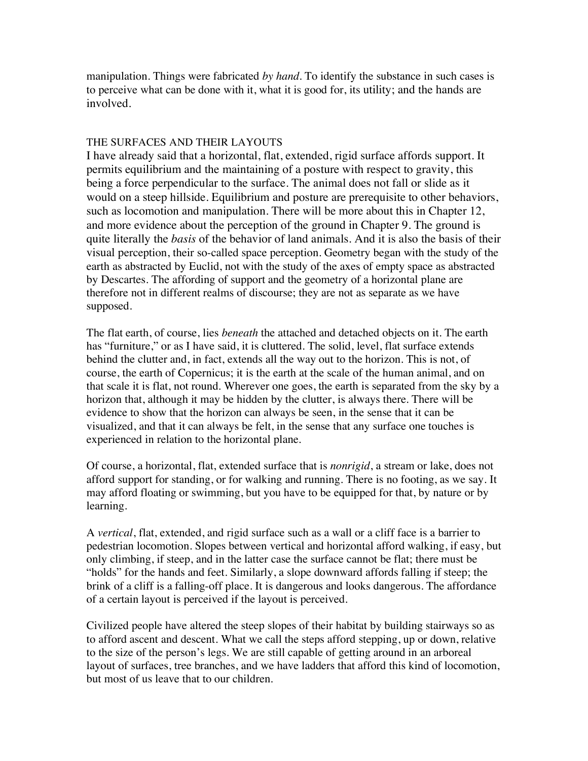manipulation. Things were fabricated *by hand*. To identify the substance in such cases is to perceive what can be done with it, what it is good for, its utility; and the hands are involved.

## THE SURFACES AND THEIR LAYOUTS

I have already said that a horizontal, flat, extended, rigid surface affords support. It permits equilibrium and the maintaining of a posture with respect to gravity, this being a force perpendicular to the surface. The animal does not fall or slide as it would on a steep hillside. Equilibrium and posture are prerequisite to other behaviors, such as locomotion and manipulation. There will be more about this in Chapter 12, and more evidence about the perception of the ground in Chapter 9. The ground is quite literally the *basis* of the behavior of land animals. And it is also the basis of their visual perception, their so-called space perception. Geometry began with the study of the earth as abstracted by Euclid, not with the study of the axes of empty space as abstracted by Descartes. The affording of support and the geometry of a horizontal plane are therefore not in different realms of discourse; they are not as separate as we have supposed.

The flat earth, of course, lies *beneath* the attached and detached objects on it. The earth has "furniture," or as I have said, it is cluttered. The solid, level, flat surface extends behind the clutter and, in fact, extends all the way out to the horizon. This is not, of course, the earth of Copernicus; it is the earth at the scale of the human animal, and on that scale it is flat, not round. Wherever one goes, the earth is separated from the sky by a horizon that, although it may be hidden by the clutter, is always there. There will be evidence to show that the horizon can always be seen, in the sense that it can be visualized, and that it can always be felt, in the sense that any surface one touches is experienced in relation to the horizontal plane.

Of course, a horizontal, flat, extended surface that is *nonrigid*, a stream or lake, does not afford support for standing, or for walking and running. There is no footing, as we say. It may afford floating or swimming, but you have to be equipped for that, by nature or by learning.

A *vertical*, flat, extended, and rigid surface such as a wall or a cliff face is a barrier to pedestrian locomotion. Slopes between vertical and horizontal afford walking, if easy, but only climbing, if steep, and in the latter case the surface cannot be flat; there must be "holds" for the hands and feet. Similarly, a slope downward affords falling if steep; the brink of a cliff is a falling-off place. It is dangerous and looks dangerous. The affordance of a certain layout is perceived if the layout is perceived.

Civilized people have altered the steep slopes of their habitat by building stairways so as to afford ascent and descent. What we call the steps afford stepping, up or down, relative to the size of the person's legs. We are still capable of getting around in an arboreal layout of surfaces, tree branches, and we have ladders that afford this kind of locomotion, but most of us leave that to our children.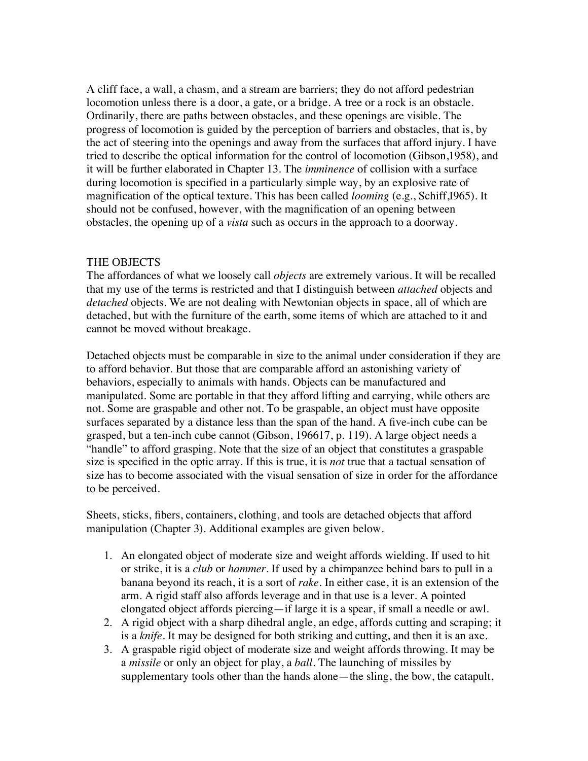A cliff face, a wall, a chasm, and a stream are barriers; they do not afford pedestrian locomotion unless there is a door, a gate, or a bridge. A tree or a rock is an obstacle. Ordinarily, there are paths between obstacles, and these openings are visible. The progress of locomotion is guided by the perception of barriers and obstacles, that is, by the act of steering into the openings and away from the surfaces that afford injury. I have tried to describe the optical information for the control of locomotion (Gibson,1958), and it will be further elaborated in Chapter 13. The *imminence* of collision with a surface during locomotion is specified in a particularly simple way, by an explosive rate of magnification of the optical texture. This has been called *looming* (e.g., Schiff,I965). It should not be confused, however, with the magnification of an opening between obstacles, the opening up of a *vista* such as occurs in the approach to a doorway.

# THE OBJECTS

The affordances of what we loosely call *objects* are extremely various. It will be recalled that my use of the terms is restricted and that I distinguish between *attached* objects and *detached* objects. We are not dealing with Newtonian objects in space, all of which are detached, but with the furniture of the earth, some items of which are attached to it and cannot be moved without breakage.

Detached objects must be comparable in size to the animal under consideration if they are to afford behavior. But those that are comparable afford an astonishing variety of behaviors, especially to animals with hands. Objects can be manufactured and manipulated. Some are portable in that they afford lifting and carrying, while others are not. Some are graspable and other not. To be graspable, an object must have opposite surfaces separated by a distance less than the span of the hand. A five-inch cube can be grasped, but a ten-inch cube cannot (Gibson, 196617, p. 119). A large object needs a "handle" to afford grasping. Note that the size of an object that constitutes a graspable size is specified in the optic array. If this is true, it is *not* true that a tactual sensation of size has to become associated with the visual sensation of size in order for the affordance to be perceived.

Sheets, sticks, fibers, containers, clothing, and tools are detached objects that afford manipulation (Chapter 3). Additional examples are given below.

- 1. An elongated object of moderate size and weight affords wielding. If used to hit or strike, it is a *club* or *hammer*. If used by a chimpanzee behind bars to pull in a banana beyond its reach, it is a sort of *rake.* In either case, it is an extension of the arm. A rigid staff also affords leverage and in that use is a lever. A pointed elongated object affords piercing—if large it is a spear, if small a needle or awl.
- 2. A rigid object with a sharp dihedral angle, an edge, affords cutting and scraping; it is a *knife*. It may be designed for both striking and cutting, and then it is an axe.
- 3. A graspable rigid object of moderate size and weight affords throwing. It may be a *missile* or only an object for play, a *ball*. The launching of missiles by supplementary tools other than the hands alone—the sling, the bow, the catapult,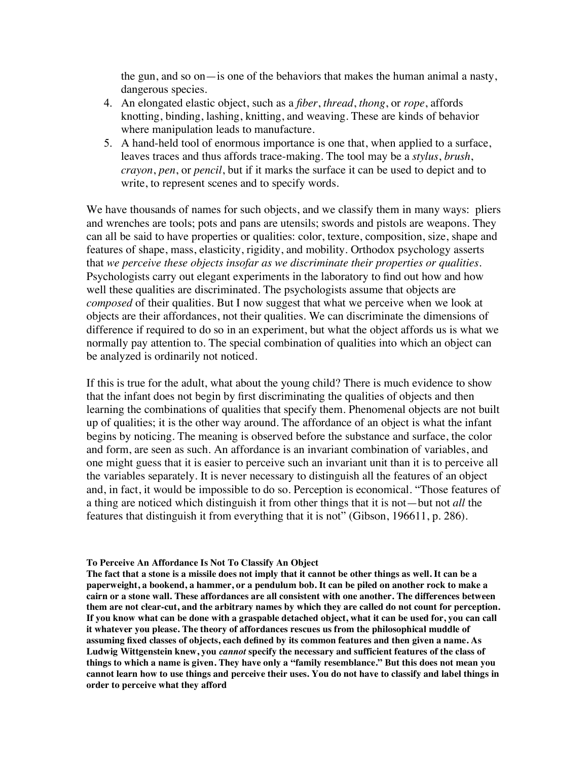the gun, and so on—is one of the behaviors that makes the human animal a nasty, dangerous species.

- 4. An elongated elastic object, such as a *fiber*, *thread*, *thong*, or *rope*, affords knotting, binding, lashing, knitting, and weaving. These are kinds of behavior where manipulation leads to manufacture.
- 5. A hand-held tool of enormous importance is one that, when applied to a surface, leaves traces and thus affords trace-making. The tool may be a *stylus*, *brush*, *crayon*, *pen*, or *pencil*, but if it marks the surface it can be used to depict and to write, to represent scenes and to specify words.

We have thousands of names for such objects, and we classify them in many ways: pliers and wrenches are tools; pots and pans are utensils; swords and pistols are weapons. They can all be said to have properties or qualities: color, texture, composition, size, shape and features of shape, mass, elasticity, rigidity, and mobility. Orthodox psychology asserts that *we perceive these objects insofar as we discriminate their properties or qualities*. Psychologists carry out elegant experiments in the laboratory to find out how and how well these qualities are discriminated. The psychologists assume that objects are *composed* of their qualities. But I now suggest that what we perceive when we look at objects are their affordances, not their qualities. We can discriminate the dimensions of difference if required to do so in an experiment, but what the object affords us is what we normally pay attention to. The special combination of qualities into which an object can be analyzed is ordinarily not noticed.

If this is true for the adult, what about the young child? There is much evidence to show that the infant does not begin by first discriminating the qualities of objects and then learning the combinations of qualities that specify them. Phenomenal objects are not built up of qualities; it is the other way around. The affordance of an object is what the infant begins by noticing. The meaning is observed before the substance and surface, the color and form, are seen as such. An affordance is an invariant combination of variables, and one might guess that it is easier to perceive such an invariant unit than it is to perceive all the variables separately. It is never necessary to distinguish all the features of an object and, in fact, it would be impossible to do so. Perception is economical. "Those features of a thing are noticed which distinguish it from other things that it is not—but not *all* the features that distinguish it from everything that it is not" (Gibson, 196611, p. 286).

#### **To Perceive An Affordance Is Not To Classify An Object**

**The fact that a stone is a missile does not imply that it cannot be other things as well. It can be a paperweight, a bookend, a hammer, or a pendulum bob. It can be piled on another rock to make a cairn or a stone wall. These affordances are all consistent with one another. The differences between them are not clear-cut, and the arbitrary names by which they are called do not count for perception. If you know what can be done with a graspable detached object, what it can be used for, you can call it whatever you please. The theory of affordances rescues us from the philosophical muddle of assuming fixed classes of objects, each defined by its common features and then given a name. As Ludwig Wittgenstein knew, you** *cannot* **specify the necessary and sufficient features of the class of things to which a name is given. They have only a "family resemblance." But this does not mean you cannot learn how to use things and perceive their uses. You do not have to classify and label things in order to perceive what they afford**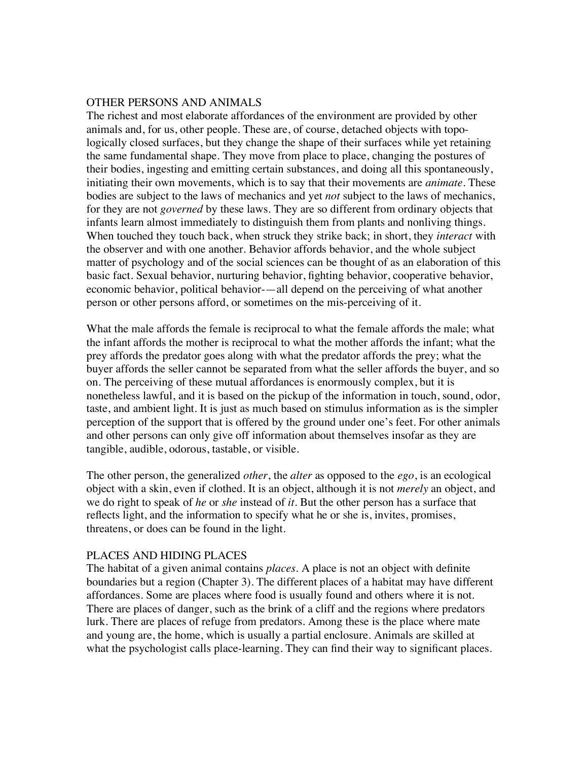## OTHER PERSONS AND ANIMALS

The richest and most elaborate affordances of the environment are provided by other animals and, for us, other people. These are, of course, detached objects with topologically closed surfaces, but they change the shape of their surfaces while yet retaining the same fundamental shape. They move from place to place, changing the postures of their bodies, ingesting and emitting certain substances, and doing all this spontaneously, initiating their own movements, which is to say that their movements are *animate*. These bodies are subject to the laws of mechanics and yet *not* subject to the laws of mechanics, for they are not *governed* by these laws. They are so different from ordinary objects that infants learn almost immediately to distinguish them from plants and nonliving things. When touched they touch back, when struck they strike back; in short, they *interact* with the observer and with one another. Behavior affords behavior, and the whole subject matter of psychology and of the social sciences can be thought of as an elaboration of this basic fact. Sexual behavior, nurturing behavior, fighting behavior, cooperative behavior, economic behavior, political behavior-—all depend on the perceiving of what another person or other persons afford, or sometimes on the mis-perceiving of it.

What the male affords the female is reciprocal to what the female affords the male; what the infant affords the mother is reciprocal to what the mother affords the infant; what the prey affords the predator goes along with what the predator affords the prey; what the buyer affords the seller cannot be separated from what the seller affords the buyer, and so on. The perceiving of these mutual affordances is enormously complex, but it is nonetheless lawful, and it is based on the pickup of the information in touch, sound, odor, taste, and ambient light. It is just as much based on stimulus information as is the simpler perception of the support that is offered by the ground under one's feet. For other animals and other persons can only give off information about themselves insofar as they are tangible, audible, odorous, tastable, or visible.

The other person, the generalized *other*, the *alter* as opposed to the *ego*, is an ecological object with a skin, even if clothed. It is an object, although it is not *merely* an object, and we do right to speak of *he* or *she* instead of *it*. But the other person has a surface that reflects light, and the information to specify what he or she is, invites, promises, threatens, or does can be found in the light.

## PLACES AND HIDING PLACES

The habitat of a given animal contains *places*. A place is not an object with definite boundaries but a region (Chapter 3). The different places of a habitat may have different affordances. Some are places where food is usually found and others where it is not. There are places of danger, such as the brink of a cliff and the regions where predators lurk. There are places of refuge from predators. Among these is the place where mate and young are, the home, which is usually a partial enclosure. Animals are skilled at what the psychologist calls place-learning. They can find their way to significant places.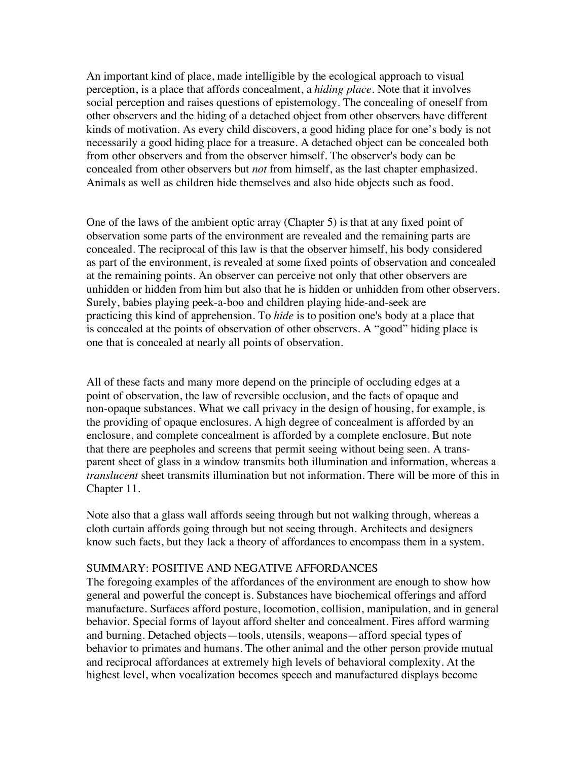An important kind of place, made intelligible by the ecological approach to visual perception, is a place that affords concealment, a *hiding place*. Note that it involves social perception and raises questions of epistemology. The concealing of oneself from other observers and the hiding of a detached object from other observers have different kinds of motivation. As every child discovers, a good hiding place for one's body is not necessarily a good hiding place for a treasure. A detached object can be concealed both from other observers and from the observer himself. The observer's body can be concealed from other observers but *not* from himself, as the last chapter emphasized. Animals as well as children hide themselves and also hide objects such as food.

One of the laws of the ambient optic array (Chapter 5) is that at any fixed point of observation some parts of the environment are revealed and the remaining parts are concealed. The reciprocal of this law is that the observer himself, his body considered as part of the environment, is revealed at some fixed points of observation and concealed at the remaining points. An observer can perceive not only that other observers are unhidden or hidden from him but also that he is hidden or unhidden from other observers. Surely, babies playing peek-a-boo and children playing hide-and-seek are practicing this kind of apprehension. To *hide* is to position one's body at a place that is concealed at the points of observation of other observers. A "good" hiding place is one that is concealed at nearly all points of observation.

All of these facts and many more depend on the principle of occluding edges at a point of observation, the law of reversible occlusion, and the facts of opaque and non-opaque substances. What we call privacy in the design of housing, for example, is the providing of opaque enclosures. A high degree of concealment is afforded by an enclosure, and complete concealment is afforded by a complete enclosure. But note that there are peepholes and screens that permit seeing without being seen. A transparent sheet of glass in a window transmits both illumination and information, whereas a *translucent* sheet transmits illumination but not information. There will be more of this in Chapter 11.

Note also that a glass wall affords seeing through but not walking through, whereas a cloth curtain affords going through but not seeing through. Architects and designers know such facts, but they lack a theory of affordances to encompass them in a system.

#### SUMMARY: POSITIVE AND NEGATIVE AFFORDANCES

The foregoing examples of the affordances of the environment are enough to show how general and powerful the concept is. Substances have biochemical offerings and afford manufacture. Surfaces afford posture, locomotion, collision, manipulation, and in general behavior. Special forms of layout afford shelter and concealment. Fires afford warming and burning. Detached objects—tools, utensils, weapons—afford special types of behavior to primates and humans. The other animal and the other person provide mutual and reciprocal affordances at extremely high levels of behavioral complexity. At the highest level, when vocalization becomes speech and manufactured displays become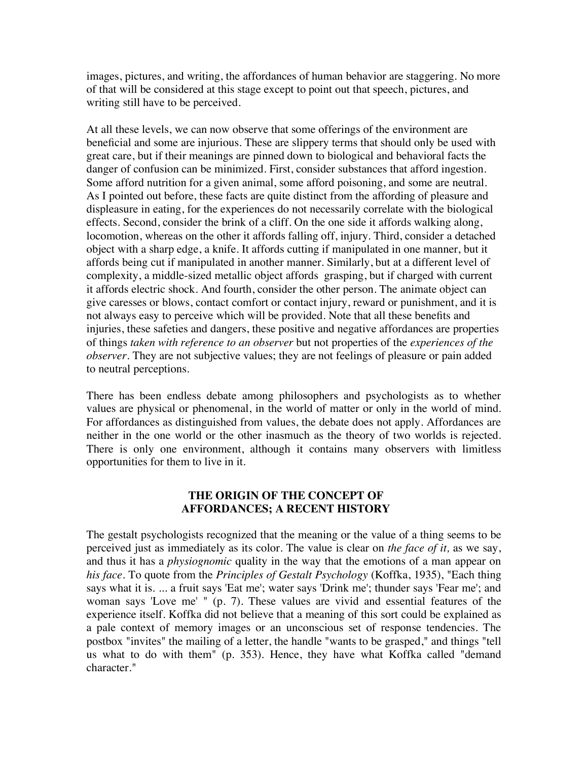images, pictures, and writing, the affordances of human behavior are staggering. No more of that will be considered at this stage except to point out that speech, pictures, and writing still have to be perceived.

At all these levels, we can now observe that some offerings of the environment are beneficial and some are injurious. These are slippery terms that should only be used with great care, but if their meanings are pinned down to biological and behavioral facts the danger of confusion can be minimized. First, consider substances that afford ingestion. Some afford nutrition for a given animal, some afford poisoning, and some are neutral. As I pointed out before, these facts are quite distinct from the affording of pleasure and displeasure in eating, for the experiences do not necessarily correlate with the biological effects. Second, consider the brink of a cliff. On the one side it affords walking along, locomotion, whereas on the other it affords falling off, injury. Third, consider a detached object with a sharp edge, a knife. It affords cutting if manipulated in one manner, but it affords being cut if manipulated in another manner. Similarly, but at a different level of complexity, a middle-sized metallic object affords grasping, but if charged with current it affords electric shock. And fourth, consider the other person. The animate object can give caresses or blows, contact comfort or contact injury, reward or punishment, and it is not always easy to perceive which will be provided. Note that all these benefits and injuries, these safeties and dangers, these positive and negative affordances are properties of things *taken with reference to an observer* but not properties of the *experiences of the observer*. They are not subjective values; they are not feelings of pleasure or pain added to neutral perceptions.

There has been endless debate among philosophers and psychologists as to whether values are physical or phenomenal, in the world of matter or only in the world of mind. For affordances as distinguished from values, the debate does not apply. Affordances are neither in the one world or the other inasmuch as the theory of two worlds is rejected. There is only one environment, although it contains many observers with limitless opportunities for them to live in it.

## **THE ORIGIN OF THE CONCEPT OF AFFORDANCES; A RECENT HISTORY**

The gestalt psychologists recognized that the meaning or the value of a thing seems to be perceived just as immediately as its color. The value is clear on *the face of it,* as we say, and thus it has a *physiognomic* quality in the way that the emotions of a man appear on *his face.* To quote from the *Principles of Gestalt Psychology* (Koffka, 1935), "Each thing says what it is. ... a fruit says 'Eat me'; water says 'Drink me'; thunder says 'Fear me'; and woman says 'Love me' " (p. 7). These values are vivid and essential features of the experience itself. Koffka did not believe that a meaning of this sort could be explained as a pale context of memory images or an unconscious set of response tendencies. The postbox "invites" the mailing of a letter, the handle "wants to be grasped," and things "tell us what to do with them" (p. 353). Hence, they have what Koffka called "demand character."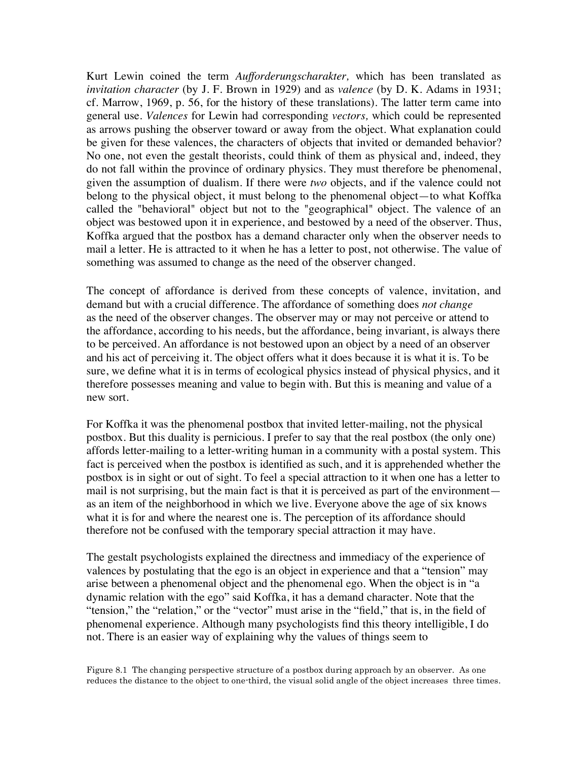Kurt Lewin coined the term *Aufforderungscharakter,* which has been translated as *invitation character* (by J. F. Brown in 1929) and as *valence* (by D. K. Adams in 1931; cf. Marrow, 1969, p. 56, for the history of these translations). The latter term came into general use. *Valences* for Lewin had corresponding *vectors,* which could be represented as arrows pushing the observer toward or away from the object. What explanation could be given for these valences, the characters of objects that invited or demanded behavior? No one, not even the gestalt theorists, could think of them as physical and, indeed, they do not fall within the province of ordinary physics. They must therefore be phenomenal, given the assumption of dualism. If there were *two* objects, and if the valence could not belong to the physical object, it must belong to the phenomenal object—to what Koffka called the "behavioral" object but not to the "geographical" object. The valence of an object was bestowed upon it in experience, and bestowed by a need of the observer. Thus, Koffka argued that the postbox has a demand character only when the observer needs to mail a letter. He is attracted to it when he has a letter to post, not otherwise. The value of something was assumed to change as the need of the observer changed.

The concept of affordance is derived from these concepts of valence, invitation, and demand but with a crucial difference. The affordance of something does *not change* as the need of the observer changes. The observer may or may not perceive or attend to the affordance, according to his needs, but the affordance, being invariant, is always there to be perceived. An affordance is not bestowed upon an object by a need of an observer and his act of perceiving it. The object offers what it does because it is what it is. To be sure, we define what it is in terms of ecological physics instead of physical physics, and it therefore possesses meaning and value to begin with. But this is meaning and value of a new sort.

For Koffka it was the phenomenal postbox that invited letter-mailing, not the physical postbox. But this duality is pernicious. I prefer to say that the real postbox (the only one) affords letter-mailing to a letter-writing human in a community with a postal system. This fact is perceived when the postbox is identified as such, and it is apprehended whether the postbox is in sight or out of sight. To feel a special attraction to it when one has a letter to mail is not surprising, but the main fact is that it is perceived as part of the environment as an item of the neighborhood in which we live. Everyone above the age of six knows what it is for and where the nearest one is. The perception of its affordance should therefore not be confused with the temporary special attraction it may have.

The gestalt psychologists explained the directness and immediacy of the experience of valences by postulating that the ego is an object in experience and that a "tension" may arise between a phenomenal object and the phenomenal ego. When the object is in "a dynamic relation with the ego" said Koffka, it has a demand character. Note that the "tension," the "relation," or the "vector" must arise in the "field," that is, in the field of phenomenal experience. Although many psychologists find this theory intelligible, I do not. There is an easier way of explaining why the values of things seem to

Figure 8.1 The changing perspective structure of a postbox during approach by an observer. As one reduces the distance to the object to one-third, the visual solid angle of the object increases three times.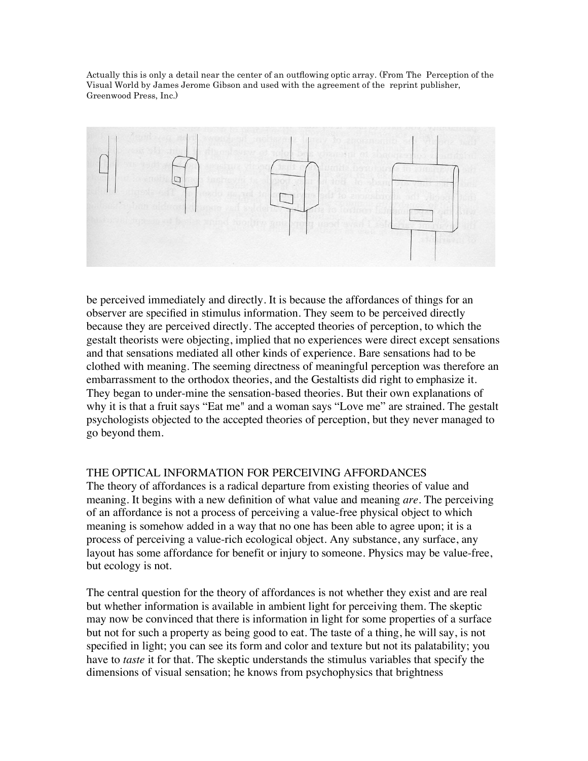Actually this is only a detail near the center of an outflowing optic array. (From The Perception of the Visual World by James Jerome Gibson and used with the agreement of the reprint publisher, Greenwood Press, Inc.)



be perceived immediately and directly. It is because the affordances of things for an observer are specified in stimulus information. They seem to be perceived directly because they are perceived directly. The accepted theories of perception, to which the gestalt theorists were objecting, implied that no experiences were direct except sensations and that sensations mediated all other kinds of experience. Bare sensations had to be clothed with meaning. The seeming directness of meaningful perception was therefore an embarrassment to the orthodox theories, and the Gestaltists did right to emphasize it. They began to under-mine the sensation-based theories. But their own explanations of why it is that a fruit says "Eat me" and a woman says "Love me" are strained. The gestalt psychologists objected to the accepted theories of perception, but they never managed to go beyond them.

## THE OPTICAL INFORMATION FOR PERCEIVING AFFORDANCES

The theory of affordances is a radical departure from existing theories of value and meaning. It begins with a new definition of what value and meaning *are*. The perceiving of an affordance is not a process of perceiving a value-free physical object to which meaning is somehow added in a way that no one has been able to agree upon; it is a process of perceiving a value-rich ecological object. Any substance, any surface, any layout has some affordance for benefit or injury to someone. Physics may be value-free, but ecology is not.

The central question for the theory of affordances is not whether they exist and are real but whether information is available in ambient light for perceiving them. The skeptic may now be convinced that there is information in light for some properties of a surface but not for such a property as being good to eat. The taste of a thing, he will say, is not specified in light; you can see its form and color and texture but not its palatability; you have to *taste* it for that. The skeptic understands the stimulus variables that specify the dimensions of visual sensation; he knows from psychophysics that brightness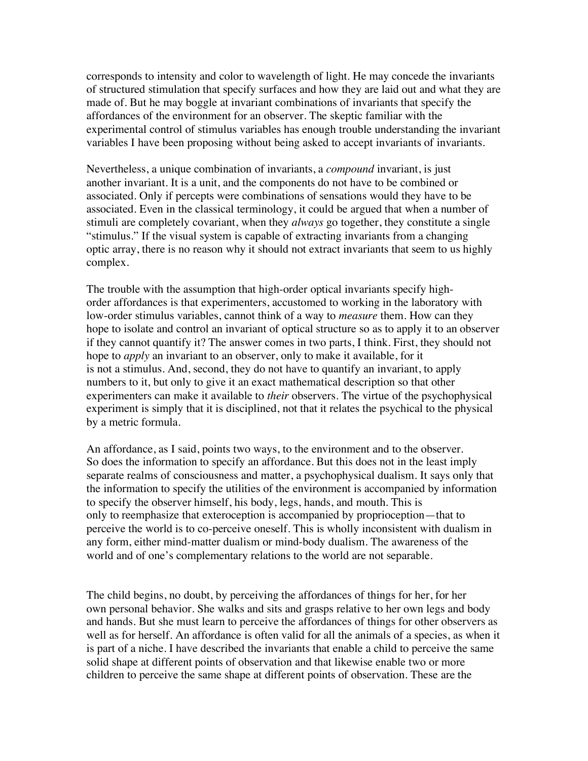corresponds to intensity and color to wavelength of light. He may concede the invariants of structured stimulation that specify surfaces and how they are laid out and what they are made of. But he may boggle at invariant combinations of invariants that specify the affordances of the environment for an observer. The skeptic familiar with the experimental control of stimulus variables has enough trouble understanding the invariant variables I have been proposing without being asked to accept invariants of invariants.

Nevertheless, a unique combination of invariants, a *compound* invariant, is just another invariant. It is a unit, and the components do not have to be combined or associated. Only if percepts were combinations of sensations would they have to be associated. Even in the classical terminology, it could be argued that when a number of stimuli are completely covariant, when they *always* go together, they constitute a single "stimulus." If the visual system is capable of extracting invariants from a changing optic array, there is no reason why it should not extract invariants that seem to us highly complex.

The trouble with the assumption that high-order optical invariants specify highorder affordances is that experimenters, accustomed to working in the laboratory with low-order stimulus variables, cannot think of a way to *measure* them. How can they hope to isolate and control an invariant of optical structure so as to apply it to an observer if they cannot quantify it? The answer comes in two parts, I think. First, they should not hope to *apply* an invariant to an observer, only to make it available, for it is not a stimulus. And, second, they do not have to quantify an invariant, to apply numbers to it, but only to give it an exact mathematical description so that other experimenters can make it available to *their* observers. The virtue of the psychophysical experiment is simply that it is disciplined, not that it relates the psychical to the physical by a metric formula.

An affordance, as I said, points two ways, to the environment and to the observer. So does the information to specify an affordance. But this does not in the least imply separate realms of consciousness and matter, a psychophysical dualism. It says only that the information to specify the utilities of the environment is accompanied by information to specify the observer himself, his body, legs, hands, and mouth. This is only to reemphasize that exteroception is accompanied by proprioception—that to perceive the world is to co-perceive oneself. This is wholly inconsistent with dualism in any form, either mind-matter dualism or mind-body dualism. The awareness of the world and of one's complementary relations to the world are not separable.

The child begins, no doubt, by perceiving the affordances of things for her, for her own personal behavior. She walks and sits and grasps relative to her own legs and body and hands. But she must learn to perceive the affordances of things for other observers as well as for herself. An affordance is often valid for all the animals of a species, as when it is part of a niche. I have described the invariants that enable a child to perceive the same solid shape at different points of observation and that likewise enable two or more children to perceive the same shape at different points of observation. These are the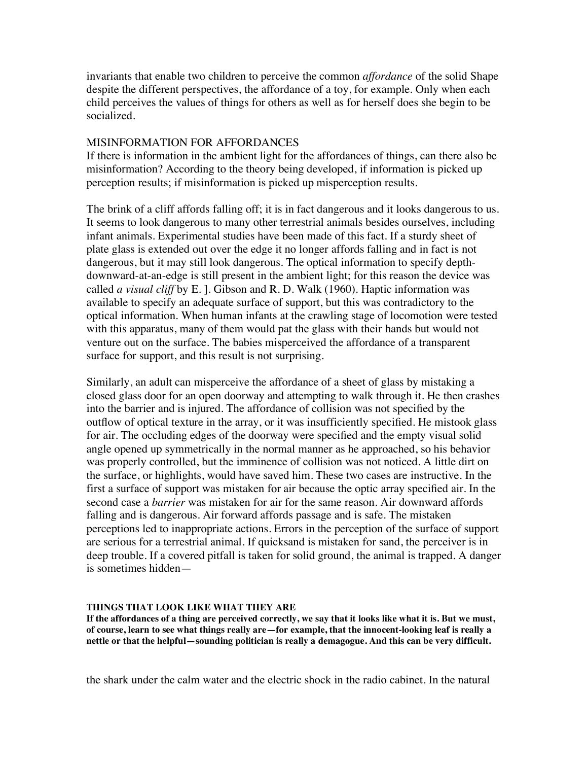invariants that enable two children to perceive the common *affordance* of the solid Shape despite the different perspectives, the affordance of a toy, for example. Only when each child perceives the values of things for others as well as for herself does she begin to be socialized.

## MISINFORMATION FOR AFFORDANCES

If there is information in the ambient light for the affordances of things, can there also be misinformation? According to the theory being developed, if information is picked up perception results; if misinformation is picked up misperception results.

The brink of a cliff affords falling off; it is in fact dangerous and it looks dangerous to us. It seems to look dangerous to many other terrestrial animals besides ourselves, including infant animals. Experimental studies have been made of this fact. If a sturdy sheet of plate glass is extended out over the edge it no longer affords falling and in fact is not dangerous, but it may still look dangerous. The optical information to specify depthdownward-at-an-edge is still present in the ambient light; for this reason the device was called *a visual cliff* by E. ]. Gibson and R. D. Walk (1960). Haptic information was available to specify an adequate surface of support, but this was contradictory to the optical information. When human infants at the crawling stage of locomotion were tested with this apparatus, many of them would pat the glass with their hands but would not venture out on the surface. The babies misperceived the affordance of a transparent surface for support, and this result is not surprising.

Similarly, an adult can misperceive the affordance of a sheet of glass by mistaking a closed glass door for an open doorway and attempting to walk through it. He then crashes into the barrier and is injured. The affordance of collision was not specified by the outflow of optical texture in the array, or it was insufficiently specified. He mistook glass for air. The occluding edges of the doorway were specified and the empty visual solid angle opened up symmetrically in the normal manner as he approached, so his behavior was properly controlled, but the imminence of collision was not noticed. A little dirt on the surface, or highlights, would have saved him. These two cases are instructive. In the first a surface of support was mistaken for air because the optic array specified air. In the second case a *barrier* was mistaken for air for the same reason. Air downward affords falling and is dangerous. Air forward affords passage and is safe. The mistaken perceptions led to inappropriate actions. Errors in the perception of the surface of support are serious for a terrestrial animal. If quicksand is mistaken for sand, the perceiver is in deep trouble. If a covered pitfall is taken for solid ground, the animal is trapped. A danger is sometimes hidden—

#### **THINGS THAT LOOK LIKE WHAT THEY ARE**

**If the affordances of a thing are perceived correctly, we say that it looks like what it is. But we must, of course, learn to see what things really are—for example, that the innocent-looking leaf is really a nettle or that the helpful—sounding politician is really a demagogue. And this can be very difficult.**

the shark under the calm water and the electric shock in the radio cabinet. In the natural